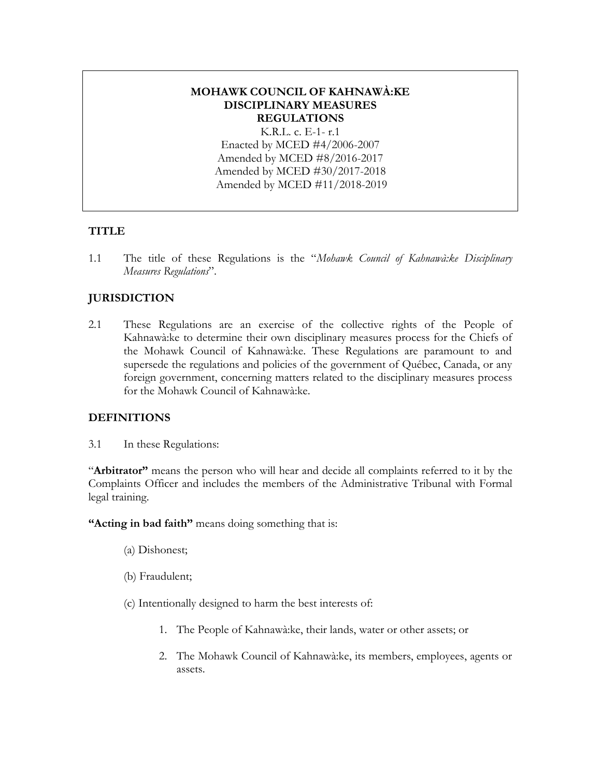# **MOHAWK COUNCIL OF KAHNAWÀ:KE DISCIPLINARY MEASURES REGULATIONS**

K.R.L. c. E-1- r.1 Enacted by MCED #4/2006-2007 Amended by MCED #8/2016-2017 Amended by MCED #30/2017-2018 Amended by MCED #11/2018-2019

#### **TITLE**

1.1 The title of these Regulations is the "*Mohawk Council of Kahnawà:ke Disciplinary Measures Regulations*".

# **JURISDICTION**

2.1 These Regulations are an exercise of the collective rights of the People of Kahnawà:ke to determine their own disciplinary measures process for the Chiefs of the Mohawk Council of Kahnawà:ke. These Regulations are paramount to and supersede the regulations and policies of the government of Québec, Canada, or any foreign government, concerning matters related to the disciplinary measures process for the Mohawk Council of Kahnawà:ke.

#### **DEFINITIONS**

3.1 In these Regulations:

"**Arbitrator"** means the person who will hear and decide all complaints referred to it by the Complaints Officer and includes the members of the Administrative Tribunal with Formal legal training.

**"Acting in bad faith"** means doing something that is:

- (a) Dishonest;
- (b) Fraudulent;
- (c) Intentionally designed to harm the best interests of:
	- 1. The People of Kahnawà:ke, their lands, water or other assets; or
	- 2. The Mohawk Council of Kahnawà:ke, its members, employees, agents or assets.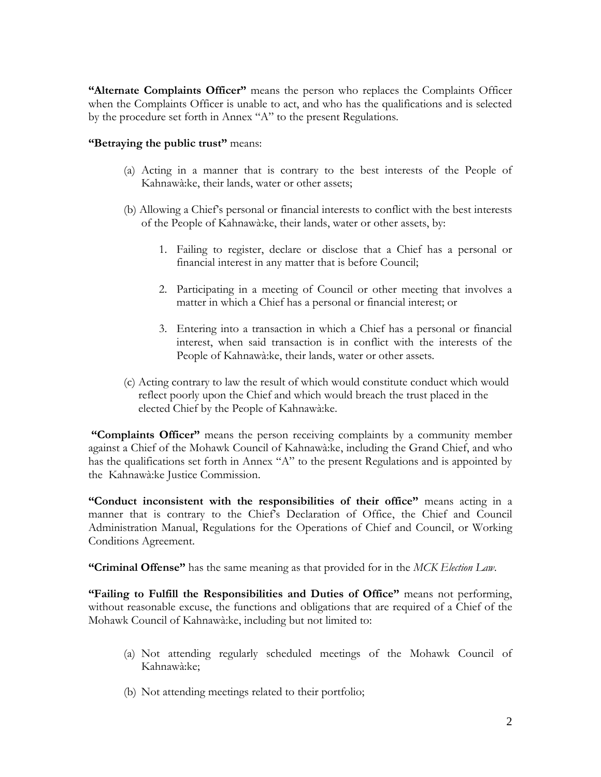**"Alternate Complaints Officer"** means the person who replaces the Complaints Officer when the Complaints Officer is unable to act, and who has the qualifications and is selected by the procedure set forth in Annex "A" to the present Regulations.

#### **"Betraying the public trust"** means:

- (a) Acting in a manner that is contrary to the best interests of the People of Kahnawà:ke, their lands, water or other assets;
- (b) Allowing a Chief's personal or financial interests to conflict with the best interests of the People of Kahnawà:ke, their lands, water or other assets, by:
	- 1. Failing to register, declare or disclose that a Chief has a personal or financial interest in any matter that is before Council;
	- 2. Participating in a meeting of Council or other meeting that involves a matter in which a Chief has a personal or financial interest; or
	- 3. Entering into a transaction in which a Chief has a personal or financial interest, when said transaction is in conflict with the interests of the People of Kahnawà:ke, their lands, water or other assets.
- (c) Acting contrary to law the result of which would constitute conduct which would reflect poorly upon the Chief and which would breach the trust placed in the elected Chief by the People of Kahnawà:ke.

**"Complaints Officer"** means the person receiving complaints by a community member against a Chief of the Mohawk Council of Kahnawà:ke, including the Grand Chief, and who has the qualifications set forth in Annex "A" to the present Regulations and is appointed by the Kahnawà:ke Justice Commission.

**"Conduct inconsistent with the responsibilities of their office"** means acting in a manner that is contrary to the Chief's Declaration of Office, the Chief and Council Administration Manual, Regulations for the Operations of Chief and Council, or Working Conditions Agreement.

**"Criminal Offense"** has the same meaning as that provided for in the *MCK Election Law*.

**"Failing to Fulfill the Responsibilities and Duties of Office"** means not performing, without reasonable excuse, the functions and obligations that are required of a Chief of the Mohawk Council of Kahnawà:ke, including but not limited to:

- (a) Not attending regularly scheduled meetings of the Mohawk Council of Kahnawà:ke;
- (b) Not attending meetings related to their portfolio;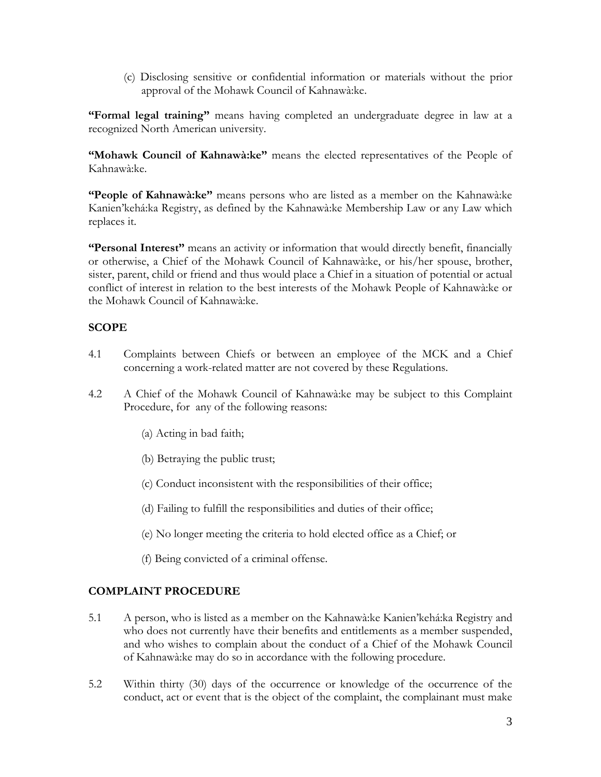(c) Disclosing sensitive or confidential information or materials without the prior approval of the Mohawk Council of Kahnawà:ke.

**"Formal legal training"** means having completed an undergraduate degree in law at a recognized North American university.

**"Mohawk Council of Kahnawà:ke"** means the elected representatives of the People of Kahnawà:ke.

**"People of Kahnawà:ke"** means persons who are listed as a member on the Kahnawà:ke Kanien'kehá:ka Registry, as defined by the Kahnawà:ke Membership Law or any Law which replaces it.

**"Personal Interest"** means an activity or information that would directly benefit, financially or otherwise, a Chief of the Mohawk Council of Kahnawà:ke, or his/her spouse, brother, sister, parent, child or friend and thus would place a Chief in a situation of potential or actual conflict of interest in relation to the best interests of the Mohawk People of Kahnawà:ke or the Mohawk Council of Kahnawà:ke.

## **SCOPE**

- 4.1 Complaints between Chiefs or between an employee of the MCK and a Chief concerning a work-related matter are not covered by these Regulations.
- 4.2 A Chief of the Mohawk Council of Kahnawà:ke may be subject to this Complaint Procedure, for any of the following reasons:
	- (a) Acting in bad faith;
	- (b) Betraying the public trust;
	- (c) Conduct inconsistent with the responsibilities of their office;
	- (d) Failing to fulfill the responsibilities and duties of their office;
	- (e) No longer meeting the criteria to hold elected office as a Chief; or
	- (f) Being convicted of a criminal offense.

# **COMPLAINT PROCEDURE**

- 5.1 A person, who is listed as a member on the Kahnawà:ke Kanien'kehá:ka Registry and who does not currently have their benefits and entitlements as a member suspended, and who wishes to complain about the conduct of a Chief of the Mohawk Council of Kahnawà:ke may do so in accordance with the following procedure.
- 5.2 Within thirty (30) days of the occurrence or knowledge of the occurrence of the conduct, act or event that is the object of the complaint, the complainant must make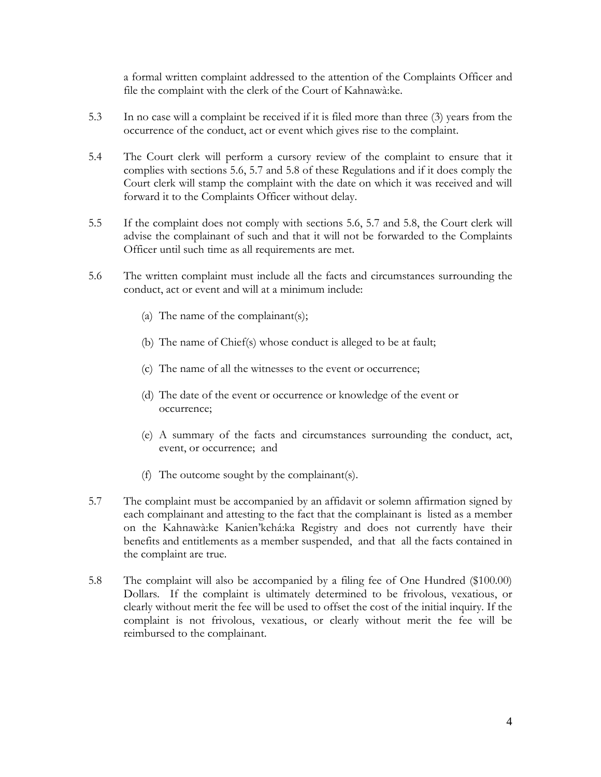a formal written complaint addressed to the attention of the Complaints Officer and file the complaint with the clerk of the Court of Kahnawà:ke.

- 5.3 In no case will a complaint be received if it is filed more than three (3) years from the occurrence of the conduct, act or event which gives rise to the complaint.
- 5.4 The Court clerk will perform a cursory review of the complaint to ensure that it complies with sections 5.6, 5.7 and 5.8 of these Regulations and if it does comply the Court clerk will stamp the complaint with the date on which it was received and will forward it to the Complaints Officer without delay.
- 5.5 If the complaint does not comply with sections 5.6, 5.7 and 5.8, the Court clerk will advise the complainant of such and that it will not be forwarded to the Complaints Officer until such time as all requirements are met.
- 5.6 The written complaint must include all the facts and circumstances surrounding the conduct, act or event and will at a minimum include:
	- (a) The name of the complainant(s);
	- (b) The name of Chief(s) whose conduct is alleged to be at fault;
	- (c) The name of all the witnesses to the event or occurrence;
	- (d) The date of the event or occurrence or knowledge of the event or occurrence;
	- (e) A summary of the facts and circumstances surrounding the conduct, act, event, or occurrence; and
	- (f) The outcome sought by the complainant(s).
- 5.7 The complaint must be accompanied by an affidavit or solemn affirmation signed by each complainant and attesting to the fact that the complainant is listed as a member on the Kahnawà:ke Kanien'kehá:ka Registry and does not currently have their benefits and entitlements as a member suspended, and that all the facts contained in the complaint are true.
- 5.8 The complaint will also be accompanied by a filing fee of One Hundred (\$100.00) Dollars. If the complaint is ultimately determined to be frivolous, vexatious, or clearly without merit the fee will be used to offset the cost of the initial inquiry. If the complaint is not frivolous, vexatious, or clearly without merit the fee will be reimbursed to the complainant.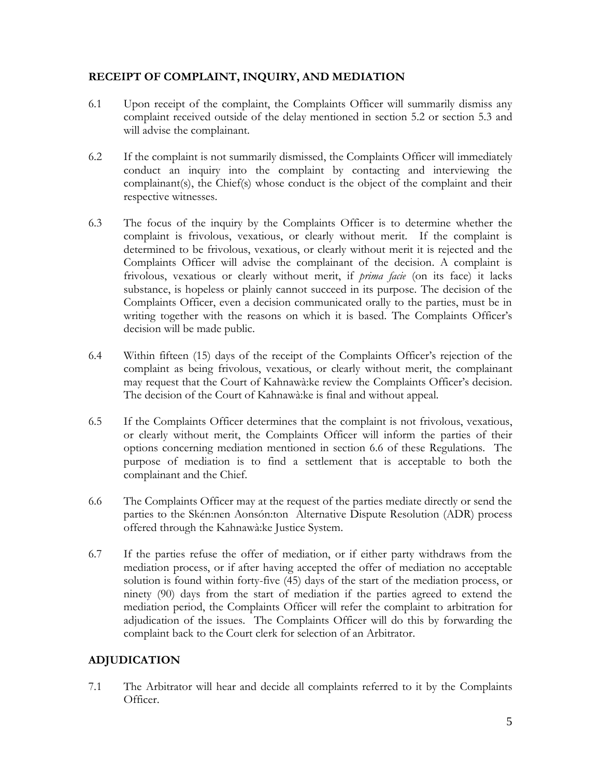## **RECEIPT OF COMPLAINT, INQUIRY, AND MEDIATION**

- 6.1 Upon receipt of the complaint, the Complaints Officer will summarily dismiss any complaint received outside of the delay mentioned in section 5.2 or section 5.3 and will advise the complainant.
- 6.2 If the complaint is not summarily dismissed, the Complaints Officer will immediately conduct an inquiry into the complaint by contacting and interviewing the complainant(s), the Chief(s) whose conduct is the object of the complaint and their respective witnesses.
- 6.3 The focus of the inquiry by the Complaints Officer is to determine whether the complaint is frivolous, vexatious, or clearly without merit. If the complaint is determined to be frivolous, vexatious, or clearly without merit it is rejected and the Complaints Officer will advise the complainant of the decision. A complaint is frivolous, vexatious or clearly without merit, if *prima facie* (on its face) it lacks substance, is hopeless or plainly cannot succeed in its purpose. The decision of the Complaints Officer, even a decision communicated orally to the parties, must be in writing together with the reasons on which it is based. The Complaints Officer's decision will be made public.
- 6.4 Within fifteen (15) days of the receipt of the Complaints Officer's rejection of the complaint as being frivolous, vexatious, or clearly without merit, the complainant may request that the Court of Kahnawà:ke review the Complaints Officer's decision. The decision of the Court of Kahnawà:ke is final and without appeal.
- 6.5 If the Complaints Officer determines that the complaint is not frivolous, vexatious, or clearly without merit, the Complaints Officer will inform the parties of their options concerning mediation mentioned in section 6.6 of these Regulations. The purpose of mediation is to find a settlement that is acceptable to both the complainant and the Chief.
- 6.6 The Complaints Officer may at the request of the parties mediate directly or send the parties to the Skén:nen Aonsón:ton Alternative Dispute Resolution (ADR) process offered through the Kahnawà:ke Justice System.
- 6.7 If the parties refuse the offer of mediation, or if either party withdraws from the mediation process, or if after having accepted the offer of mediation no acceptable solution is found within forty-five (45) days of the start of the mediation process, or ninety (90) days from the start of mediation if the parties agreed to extend the mediation period, the Complaints Officer will refer the complaint to arbitration for adjudication of the issues. The Complaints Officer will do this by forwarding the complaint back to the Court clerk for selection of an Arbitrator.

# **ADJUDICATION**

7.1 The Arbitrator will hear and decide all complaints referred to it by the Complaints Officer.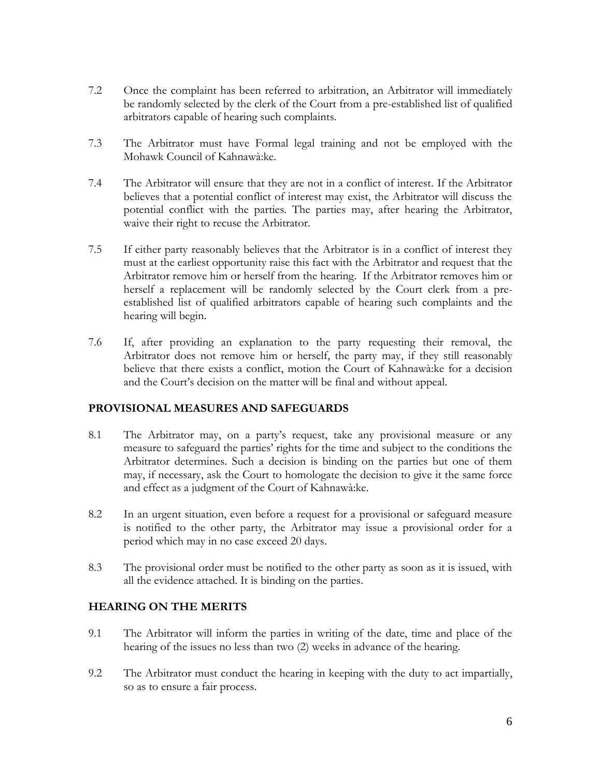- 7.2 Once the complaint has been referred to arbitration, an Arbitrator will immediately be randomly selected by the clerk of the Court from a pre-established list of qualified arbitrators capable of hearing such complaints.
- 7.3 The Arbitrator must have Formal legal training and not be employed with the Mohawk Council of Kahnawà:ke.
- 7.4 The Arbitrator will ensure that they are not in a conflict of interest. If the Arbitrator believes that a potential conflict of interest may exist, the Arbitrator will discuss the potential conflict with the parties. The parties may, after hearing the Arbitrator, waive their right to recuse the Arbitrator.
- 7.5 If either party reasonably believes that the Arbitrator is in a conflict of interest they must at the earliest opportunity raise this fact with the Arbitrator and request that the Arbitrator remove him or herself from the hearing. If the Arbitrator removes him or herself a replacement will be randomly selected by the Court clerk from a preestablished list of qualified arbitrators capable of hearing such complaints and the hearing will begin.
- 7.6 If, after providing an explanation to the party requesting their removal, the Arbitrator does not remove him or herself, the party may, if they still reasonably believe that there exists a conflict, motion the Court of Kahnawà:ke for a decision and the Court's decision on the matter will be final and without appeal.

# **PROVISIONAL MEASURES AND SAFEGUARDS**

- 8.1 The Arbitrator may, on a party's request, take any provisional measure or any measure to safeguard the parties' rights for the time and subject to the conditions the Arbitrator determines. Such a decision is binding on the parties but one of them may, if necessary, ask the Court to homologate the decision to give it the same force and effect as a judgment of the Court of Kahnawà:ke.
- 8.2 In an urgent situation, even before a request for a provisional or safeguard measure is notified to the other party, the Arbitrator may issue a provisional order for a period which may in no case exceed 20 days.
- 8.3 The provisional order must be notified to the other party as soon as it is issued, with all the evidence attached. It is binding on the parties.

# **HEARING ON THE MERITS**

- 9.1 The Arbitrator will inform the parties in writing of the date, time and place of the hearing of the issues no less than two (2) weeks in advance of the hearing.
- 9.2 The Arbitrator must conduct the hearing in keeping with the duty to act impartially, so as to ensure a fair process.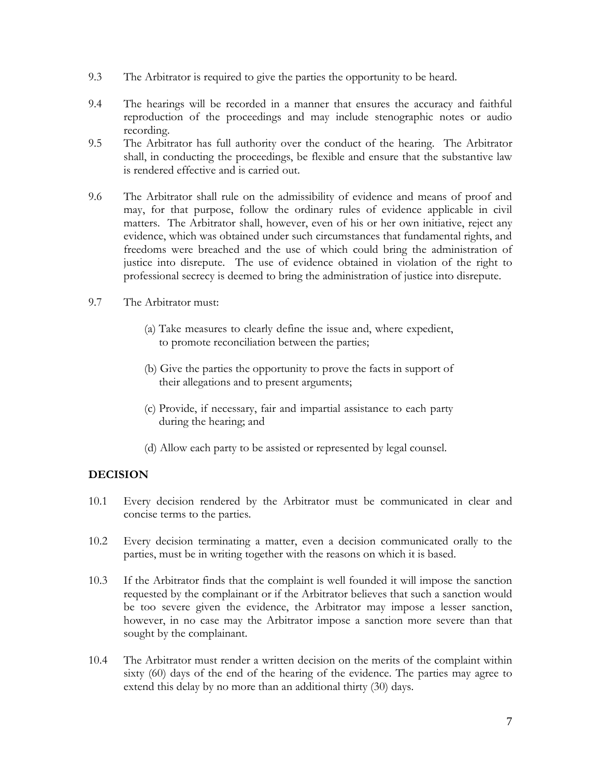- 9.3 The Arbitrator is required to give the parties the opportunity to be heard.
- 9.4 The hearings will be recorded in a manner that ensures the accuracy and faithful reproduction of the proceedings and may include stenographic notes or audio recording.
- 9.5 The Arbitrator has full authority over the conduct of the hearing. The Arbitrator shall, in conducting the proceedings, be flexible and ensure that the substantive law is rendered effective and is carried out.
- 9.6 The Arbitrator shall rule on the admissibility of evidence and means of proof and may, for that purpose, follow the ordinary rules of evidence applicable in civil matters. The Arbitrator shall, however, even of his or her own initiative, reject any evidence, which was obtained under such circumstances that fundamental rights, and freedoms were breached and the use of which could bring the administration of justice into disrepute. The use of evidence obtained in violation of the right to professional secrecy is deemed to bring the administration of justice into disrepute.
- 9.7 The Arbitrator must:
	- (a) Take measures to clearly define the issue and, where expedient, to promote reconciliation between the parties;
	- (b) Give the parties the opportunity to prove the facts in support of their allegations and to present arguments;
	- (c) Provide, if necessary, fair and impartial assistance to each party during the hearing; and
	- (d) Allow each party to be assisted or represented by legal counsel.

# **DECISION**

- 10.1 Every decision rendered by the Arbitrator must be communicated in clear and concise terms to the parties.
- 10.2 Every decision terminating a matter, even a decision communicated orally to the parties, must be in writing together with the reasons on which it is based.
- 10.3 If the Arbitrator finds that the complaint is well founded it will impose the sanction requested by the complainant or if the Arbitrator believes that such a sanction would be too severe given the evidence, the Arbitrator may impose a lesser sanction, however, in no case may the Arbitrator impose a sanction more severe than that sought by the complainant.
- 10.4 The Arbitrator must render a written decision on the merits of the complaint within sixty (60) days of the end of the hearing of the evidence. The parties may agree to extend this delay by no more than an additional thirty (30) days.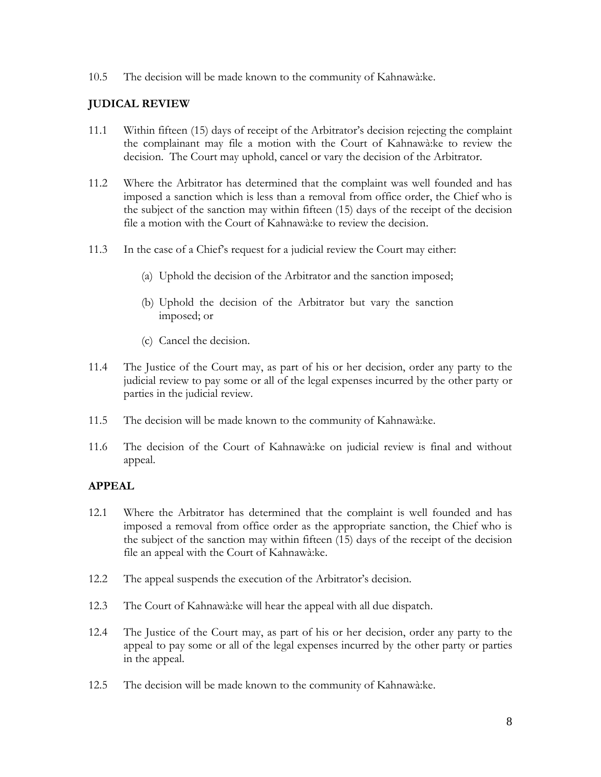10.5 The decision will be made known to the community of Kahnawà:ke.

## **JUDICAL REVIEW**

- 11.1 Within fifteen (15) days of receipt of the Arbitrator's decision rejecting the complaint the complainant may file a motion with the Court of Kahnawà:ke to review the decision. The Court may uphold, cancel or vary the decision of the Arbitrator.
- 11.2 Where the Arbitrator has determined that the complaint was well founded and has imposed a sanction which is less than a removal from office order, the Chief who is the subject of the sanction may within fifteen (15) days of the receipt of the decision file a motion with the Court of Kahnawà:ke to review the decision.
- 11.3 In the case of a Chief's request for a judicial review the Court may either:
	- (a) Uphold the decision of the Arbitrator and the sanction imposed;
	- (b) Uphold the decision of the Arbitrator but vary the sanction imposed; or
	- (c) Cancel the decision.
- 11.4 The Justice of the Court may, as part of his or her decision, order any party to the judicial review to pay some or all of the legal expenses incurred by the other party or parties in the judicial review.
- 11.5 The decision will be made known to the community of Kahnawà:ke.
- 11.6 The decision of the Court of Kahnawà:ke on judicial review is final and without appeal.

#### **APPEAL**

- 12.1 Where the Arbitrator has determined that the complaint is well founded and has imposed a removal from office order as the appropriate sanction, the Chief who is the subject of the sanction may within fifteen (15) days of the receipt of the decision file an appeal with the Court of Kahnawà:ke.
- 12.2 The appeal suspends the execution of the Arbitrator's decision.
- 12.3 The Court of Kahnawà:ke will hear the appeal with all due dispatch.
- 12.4 The Justice of the Court may, as part of his or her decision, order any party to the appeal to pay some or all of the legal expenses incurred by the other party or parties in the appeal.
- 12.5 The decision will be made known to the community of Kahnawà:ke.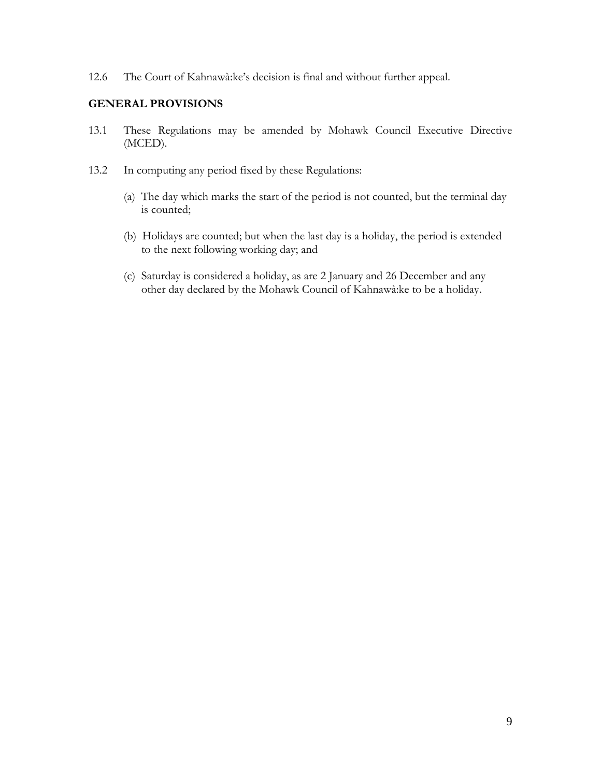12.6 The Court of Kahnawà:ke's decision is final and without further appeal.

#### **GENERAL PROVISIONS**

- 13.1 These Regulations may be amended by Mohawk Council Executive Directive (MCED).
- 13.2 In computing any period fixed by these Regulations:
	- (a) The day which marks the start of the period is not counted, but the terminal day is counted;
	- (b) Holidays are counted; but when the last day is a holiday, the period is extended to the next following working day; and
	- (c) Saturday is considered a holiday, as are 2 January and 26 December and any other day declared by the Mohawk Council of Kahnawà:ke to be a holiday.